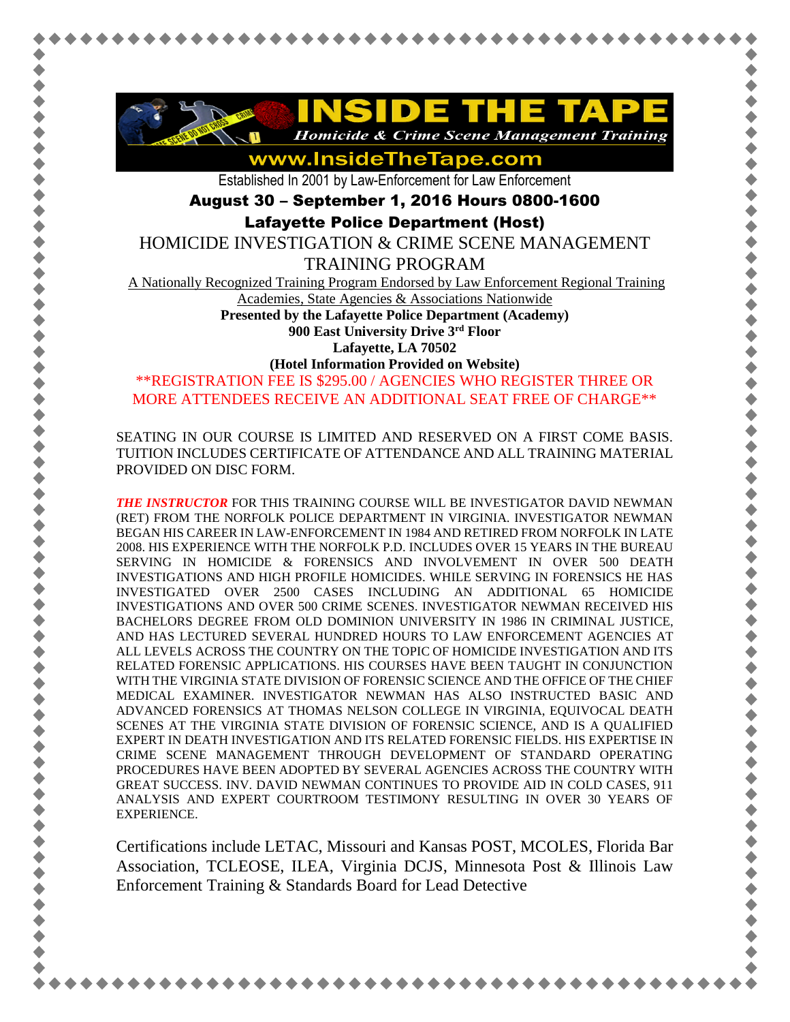

www.InsideTheTape.com

Established In 2001 by Law-Enforcement for Law Enforcement

August 30 – September 1, 2016 Hours 0800-1600

Lafayette Police Department (Host)

HOMICIDE INVESTIGATION & CRIME SCENE MANAGEMENT

TRAINING PROGRAM

A Nationally Recognized Training Program Endorsed by Law Enforcement Regional Training

Academies, State Agencies & Associations Nationwide

**Presented by the Lafayette Police Department (Academy)**

**900 East University Drive 3rd Floor Lafayette, LA 70502**

**(Hotel Information Provided on Website)**

\*\*REGISTRATION FEE IS \$295.00 / AGENCIES WHO REGISTER THREE OR MORE ATTENDEES RECEIVE AN ADDITIONAL SEAT FREE OF CHARGE\*\*

SEATING IN OUR COURSE IS LIMITED AND RESERVED ON A FIRST COME BASIS. TUITION INCLUDES CERTIFICATE OF ATTENDANCE AND ALL TRAINING MATERIAL PROVIDED ON DISC FORM.

*THE INSTRUCTOR* FOR THIS TRAINING COURSE WILL BE INVESTIGATOR DAVID NEWMAN (RET) FROM THE NORFOLK POLICE DEPARTMENT IN VIRGINIA. INVESTIGATOR NEWMAN BEGAN HIS CAREER IN LAW-ENFORCEMENT IN 1984 AND RETIRED FROM NORFOLK IN LATE 2008. HIS EXPERIENCE WITH THE NORFOLK P.D. INCLUDES OVER 15 YEARS IN THE BUREAU SERVING IN HOMICIDE & FORENSICS AND INVOLVEMENT IN OVER 500 DEATH INVESTIGATIONS AND HIGH PROFILE HOMICIDES. WHILE SERVING IN FORENSICS HE HAS INVESTIGATED OVER 2500 CASES INCLUDING AN ADDITIONAL 65 HOMICIDE INVESTIGATIONS AND OVER 500 CRIME SCENES. INVESTIGATOR NEWMAN RECEIVED HIS BACHELORS DEGREE FROM OLD DOMINION UNIVERSITY IN 1986 IN CRIMINAL JUSTICE, AND HAS LECTURED SEVERAL HUNDRED HOURS TO LAW ENFORCEMENT AGENCIES AT ALL LEVELS ACROSS THE COUNTRY ON THE TOPIC OF HOMICIDE INVESTIGATION AND ITS RELATED FORENSIC APPLICATIONS. HIS COURSES HAVE BEEN TAUGHT IN CONJUNCTION WITH THE VIRGINIA STATE DIVISION OF FORENSIC SCIENCE AND THE OFFICE OF THE CHIEF MEDICAL EXAMINER. INVESTIGATOR NEWMAN HAS ALSO INSTRUCTED BASIC AND ADVANCED FORENSICS AT THOMAS NELSON COLLEGE IN VIRGINIA, EQUIVOCAL DEATH SCENES AT THE VIRGINIA STATE DIVISION OF FORENSIC SCIENCE, AND IS A QUALIFIED EXPERT IN DEATH INVESTIGATION AND ITS RELATED FORENSIC FIELDS. HIS EXPERTISE IN CRIME SCENE MANAGEMENT THROUGH DEVELOPMENT OF STANDARD OPERATING PROCEDURES HAVE BEEN ADOPTED BY SEVERAL AGENCIES ACROSS THE COUNTRY WITH GREAT SUCCESS. INV. DAVID NEWMAN CONTINUES TO PROVIDE AID IN COLD CASES, 911 ANALYSIS AND EXPERT COURTROOM TESTIMONY RESULTING IN OVER 30 YEARS OF EXPERIENCE.

Certifications include LETAC, Missouri and Kansas POST, MCOLES, Florida Bar Association, TCLEOSE, ILEA, Virginia DCJS, Minnesota Post & Illinois Law Enforcement Training & Standards Board for Lead Detective